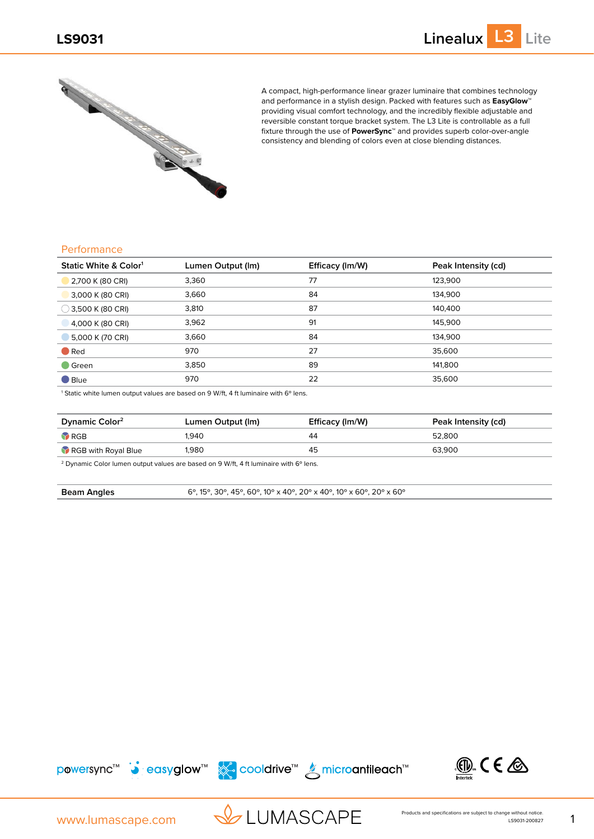

A compact, high-performance linear grazer luminaire that combines technology and performance in a stylish design. Packed with features such as **EasyGlow™** providing visual comfort technology, and the incredibly flexible adjustable and reversible constant torque bracket system. The L3 Lite is controllable as a full fixture through the use of **PowerSync™** and provides superb color-over-angle consistency and blending of colors even at close blending distances.

#### **Performance**

| Static White & Color <sup>1</sup> | Lumen Output (Im) | Efficacy (Im/W) | Peak Intensity (cd) |
|-----------------------------------|-------------------|-----------------|---------------------|
| 2,700 K (80 CRI)                  | 3,360             | 77              | 123,900             |
| 3,000 K (80 CRI)                  | 3,660             | 84              | 134.900             |
| $\bigcirc$ 3,500 K (80 CRI)       | 3,810             | 87              | 140.400             |
| 4,000 K (80 CRI)                  | 3,962             | 91              | 145,900             |
| 5,000 K (70 CRI)                  | 3,660             | 84              | 134.900             |
| $\bullet$ Red                     | 970               | 27              | 35,600              |
| $\blacksquare$ Green              | 3,850             | 89              | 141,800             |
| $\blacksquare$ Blue               | 970               | 22              | 35,600              |

<sup>1</sup> Static white lumen output values are based on 9 W/ft, 4 ft luminaire with 6° lens.

| Dynamic Color <sup>2</sup> | Lumen Output (Im) | Efficacy (Im/W) | Peak Intensity (cd) |
|----------------------------|-------------------|-----------------|---------------------|
| RGB                        | 1.940             | 44              | 52.800              |
| RGB with Royal Blue        | 1.980             | 45              | 63.900              |

<sup>2</sup> Dynamic Color lumen output values are based on 9 W/ft, 4 ft luminaire with 6° lens.

**Beam Angles** 6<sup>°</sup>, 15<sup>°</sup>, 30<sup>°</sup>, 45<sup>°</sup>, 60<sup>°</sup>, 10<sup>°</sup> x 40<sup>°</sup>, 20<sup>°</sup> x 40<sup>°</sup>, 10<sup>°</sup> x 60<sup>°</sup>, 20<sup>°</sup> x 60<sup>°</sup>





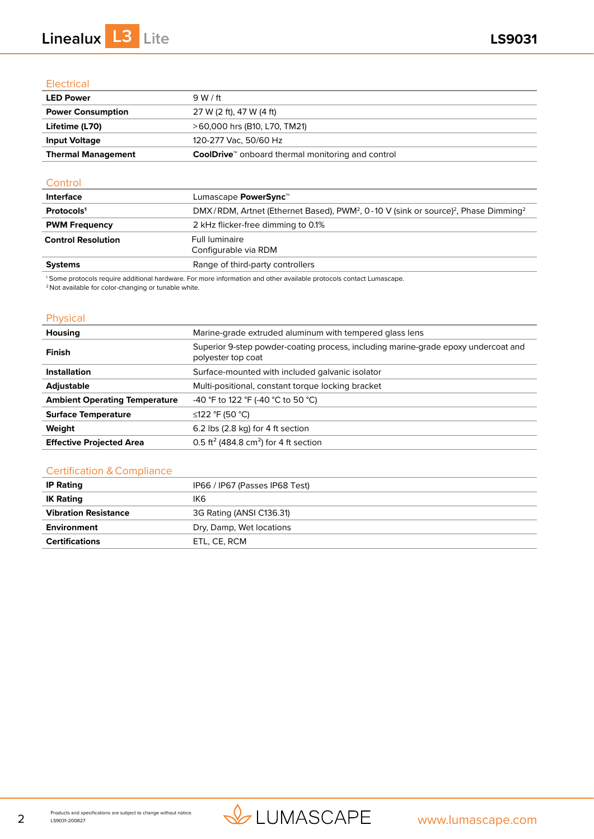# **Linealux L3 Lite LS9031**

### **Electrical**

| <b>LED Power</b>          | 9 W / ft                                                             |
|---------------------------|----------------------------------------------------------------------|
| <b>Power Consumption</b>  | 27 W (2 ft), 47 W (4 ft)                                             |
| Lifetime (L70)            | >60,000 hrs (B10, L70, TM21)                                         |
| <b>Input Voltage</b>      | 120-277 Vac. 50/60 Hz                                                |
| <b>Thermal Management</b> | <b>CoolDrive</b> <sup>™</sup> onboard thermal monitoring and control |

### **Control**

| <b>Interface</b>          | Lumascape PowerSync <sup>™</sup>                                                                                                                                                                                                                                                                                                                                                                                                                                                                                                                                        |
|---------------------------|-------------------------------------------------------------------------------------------------------------------------------------------------------------------------------------------------------------------------------------------------------------------------------------------------------------------------------------------------------------------------------------------------------------------------------------------------------------------------------------------------------------------------------------------------------------------------|
| Protocols <sup>1</sup>    | DMX/RDM, Artnet (Ethernet Based), PWM <sup>2</sup> , 0-10 V (sink or source) <sup>2</sup> , Phase Dimming <sup>2</sup>                                                                                                                                                                                                                                                                                                                                                                                                                                                  |
| <b>PWM Frequency</b>      | 2 kHz flicker-free dimming to 0.1%                                                                                                                                                                                                                                                                                                                                                                                                                                                                                                                                      |
| <b>Control Resolution</b> | Full luminaire                                                                                                                                                                                                                                                                                                                                                                                                                                                                                                                                                          |
|                           | Configurable via RDM                                                                                                                                                                                                                                                                                                                                                                                                                                                                                                                                                    |
| <b>Systems</b>            | Range of third-party controllers                                                                                                                                                                                                                                                                                                                                                                                                                                                                                                                                        |
|                           | $\mathcal{A} \bullet \mathcal{A} \bullet \mathcal{A} \bullet \mathcal{A} \bullet \mathcal{A} \bullet \mathcal{A} \bullet \mathcal{A} \bullet \mathcal{A} \bullet \mathcal{A} \bullet \mathcal{A} \bullet \mathcal{A} \bullet \mathcal{A} \bullet \mathcal{A} \bullet \mathcal{A} \bullet \mathcal{A} \bullet \mathcal{A} \bullet \mathcal{A} \bullet \mathcal{A} \bullet \mathcal{A} \bullet \mathcal{A} \bullet \mathcal{A} \bullet \mathcal{A} \bullet \mathcal{A} \bullet \mathcal{A} \bullet \mathcal{A} \bullet \mathcal{A} \bullet \mathcal{A} \bullet \mathcal{$ |

1 Some protocols require additional hardware. For more information and other available protocols contact Lumascape.

2 Not available for color-changing or tunable white.

### Physical

| Housing                              | Marine-grade extruded aluminum with tempered glass lens                                                  |  |
|--------------------------------------|----------------------------------------------------------------------------------------------------------|--|
| Finish                               | Superior 9-step powder-coating process, including marine-grade epoxy undercoat and<br>polyester top coat |  |
| <b>Installation</b>                  | Surface-mounted with included galvanic isolator                                                          |  |
| <b>Adjustable</b>                    | Multi-positional, constant torque locking bracket                                                        |  |
| <b>Ambient Operating Temperature</b> | -40 °F to 122 °F (-40 °C to 50 °C)                                                                       |  |
| <b>Surface Temperature</b>           | ≤122 °F (50 °C)                                                                                          |  |
| Weight                               | 6.2 lbs (2.8 kg) for 4 ft section                                                                        |  |
| <b>Effective Projected Area</b>      | 0.5 ft <sup>2</sup> (484.8 cm <sup>2</sup> ) for 4 ft section                                            |  |

### Certification & Compliance

| <b>IP Rating</b>            | IP66 / IP67 (Passes IP68 Test) |
|-----------------------------|--------------------------------|
| <b>IK Rating</b>            | IK6                            |
| <b>Vibration Resistance</b> | 3G Rating (ANSI C136.31)       |
| Environment                 | Dry, Damp, Wet locations       |
| <b>Certifications</b>       | ETL. CE. RCM                   |

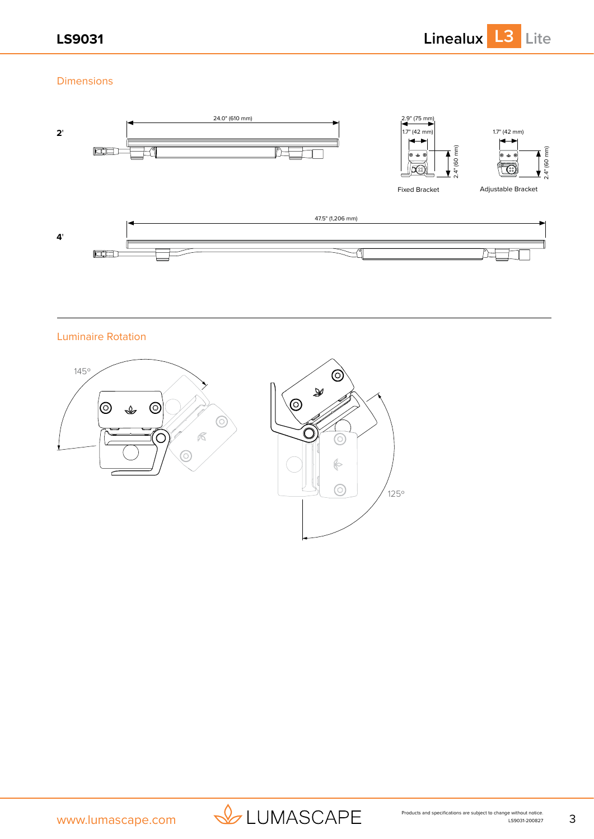**LS9031 Linealux L3 Lite**

### Dimensions



Luminaire Rotation





125º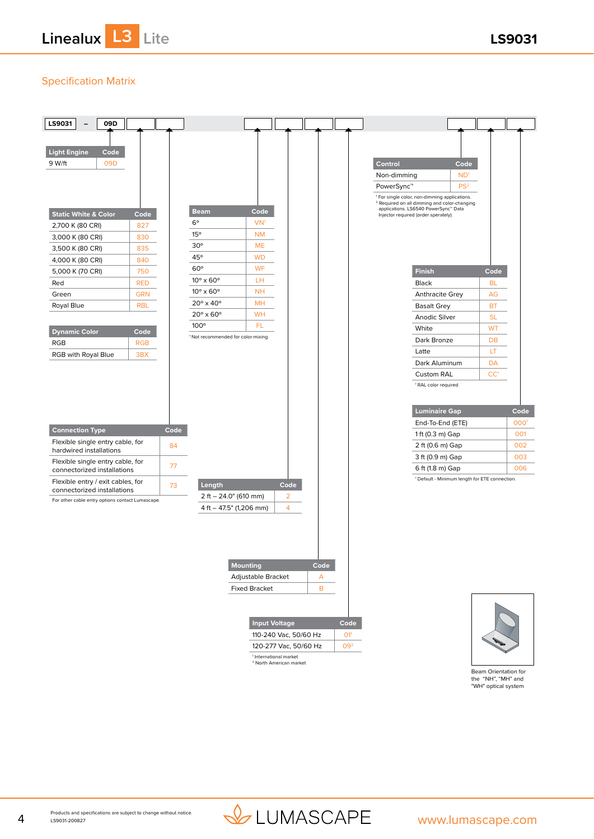**Linealux L3 Lite LS9031**

## Specification Matrix



1 International market 2 North American market

Beam Orientation for the "NH", "MH" and "WH" optical system

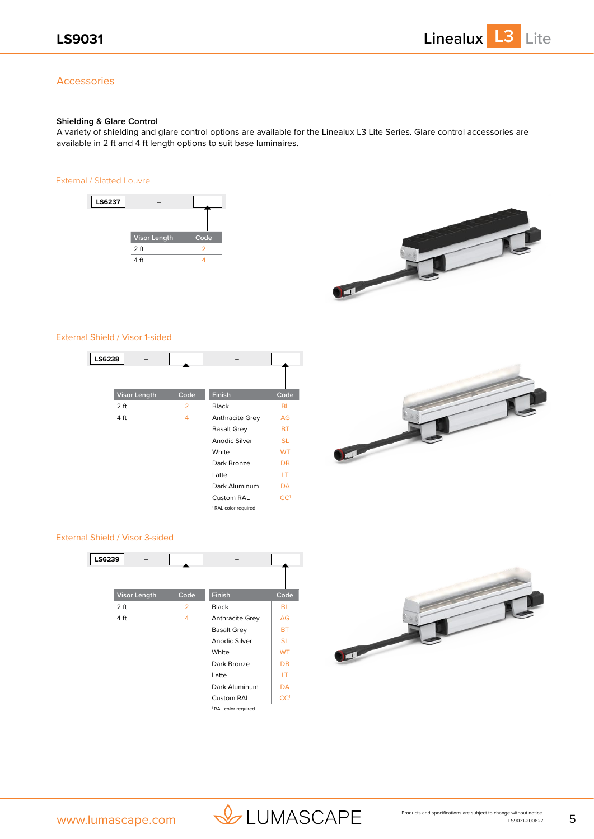### Accessories

#### **Shielding & Glare Control**

A variety of shielding and glare control options are available for the Linealux L3 Lite Series. Glare control accessories are available in 2 ft and 4 ft length options to suit base luminaires.

#### External / Slatted Louvre





#### External Shield / Visor 1-sided

| LS6238 |                     |      |                                 |                 |
|--------|---------------------|------|---------------------------------|-----------------|
|        |                     |      |                                 |                 |
|        | <b>Visor Length</b> | Code | Finish                          | Code            |
|        | 2 <sub>ft</sub>     | 2    | <b>Black</b>                    | <b>BL</b>       |
|        | 4 ft                | 4    | Anthracite Grey                 | AG              |
|        |                     |      | <b>Basalt Grey</b>              | BT              |
|        |                     |      | Anodic Silver                   | <b>SL</b>       |
|        |                     |      | White                           | <b>WT</b>       |
|        |                     |      | Dark Bronze                     | DB              |
|        |                     |      | Latte                           | LT              |
|        |                     |      | Dark Aluminum                   | DA              |
|        |                     |      | Custom RAL                      | CC <sup>1</sup> |
|        |                     |      | <sup>1</sup> RAL color required |                 |



#### External Shield / Visor 3-sided





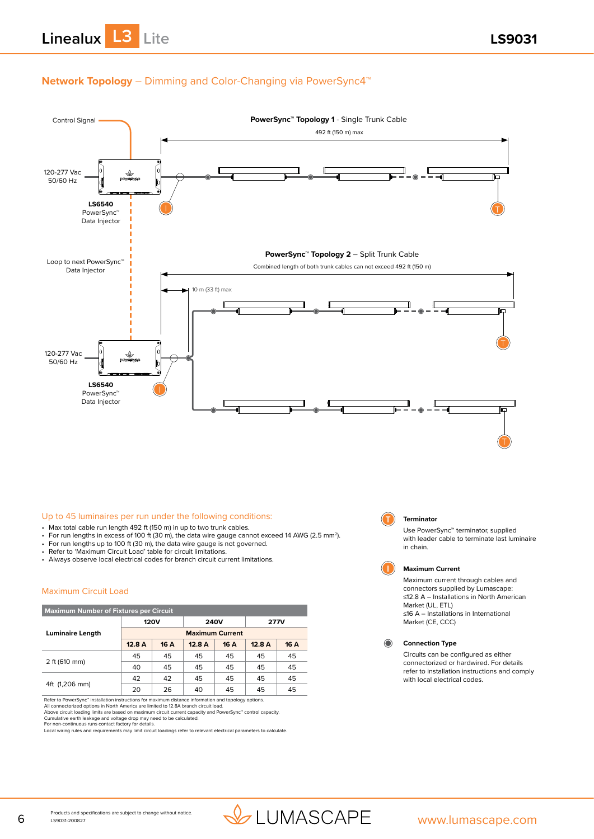

### **Network Topology** – Dimming and Color-Changing via PowerSync4™



#### Up to 45 luminaires per run under the following conditions:

- Max total cable run length 492 ft (150 m) in up to two trunk cables.
- For run lengths in excess of 100 ft (30 m), the data wire gauge cannot exceed 14 AWG (2.5 mm2).
- For run lengths up to 100 ft (30 m), the data wire gauge is not governed.
- Refer to 'Maximum Circuit Load' table for circuit limitations.
- Always observe local electrical codes for branch circuit current limitations.

#### Maximum Circuit Load

| <b>Maximum Number of Fixtures per Circuit</b> |                        |      |       |             |       |             |
|-----------------------------------------------|------------------------|------|-------|-------------|-------|-------------|
|                                               | <b>120V</b>            |      |       | <b>240V</b> |       | <b>277V</b> |
| <b>Luminaire Length</b>                       | <b>Maximum Current</b> |      |       |             |       |             |
|                                               | 12.8 A                 | 16 A | 12.8A | 16 A        | 12.8A | 16 A        |
|                                               | 45                     | 45   | 45    | 45          | 45    | 45          |
| 2 ft (610 mm)                                 | 40                     | 45   | 45    | 45          | 45    | 45          |
|                                               | 42                     | 42   | 45    | 45          | 45    | 45          |
| 4ft (1,206 mm)                                | 20                     | 26   | 40    | 45          | 45    | 45          |

Refer to PowerSync™ installation instructions for maximum distance information and topology options All connectorized options in North America are limited to 12.8A branch circuit load.

Above circuit loading limits are based on maximum circuit current capacity and PowerSync" control capacity.<br>Cumulative earth leakage and voltage drop may need to be calculated.<br>For non-continuous runs contact factory for d



#### **T Terminator**

Use PowerSync™ terminator, supplied with leader cable to terminate last luminaire in chain.



#### **I Maximum Current**

Maximum current through cables and connectors supplied by Lumascape: ≤12.8 A – Installations in North American Market (UL, ETL) ≤16 A – Installations in International Market (CE, CCC)

**Connection Type**

Circuits can be configured as either connectorized or hardwired. For details refer to installation instructions and comply with local electrical codes.

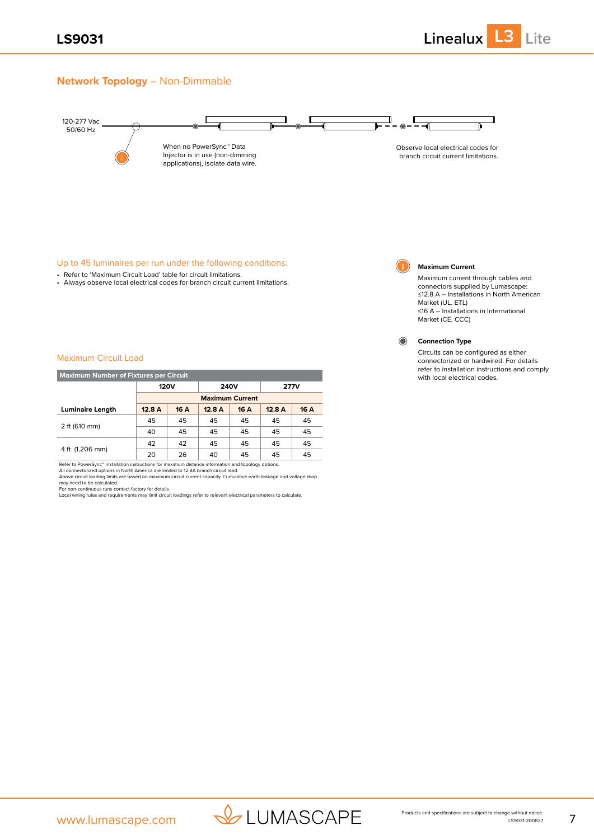### **Network Topology** – Non-Dimmable



#### Up to 45 luminaires per run under the following conditions:

- Refer to 'Maximum Circuit Load' table for circuit limitations.
- Always observe local electrical codes for branch circuit current limitations.



#### **I Maximum Current**

Maximum current through cables and connectors supplied by Lumascape: ≤12.8 A – Installations in North American Market (UL, ETL) ≤16 A – Installations in International Market (CE, CCC)

Circuits can be configured as either connectorized or hardwired. For details refer to installation instructions and comply

with local electrical codes.

**Connection Type**  $\odot$ 

#### Maximum Circuit Load

| <b>Maximum Number of Fixtures per Circuit</b> |                            |                        |             |      |       |      |
|-----------------------------------------------|----------------------------|------------------------|-------------|------|-------|------|
|                                               | <b>120V</b><br><b>240V</b> |                        | <b>277V</b> |      |       |      |
|                                               |                            | <b>Maximum Current</b> |             |      |       |      |
| <b>Luminaire Length</b>                       | 12.8A                      | 16 A                   | 12.8A       | 16 A | 12.8A | 16 A |
|                                               | 45                         | 45                     | 45          | 45   | 45    | 45   |
| 2 ft (610 mm)                                 | 40                         | 45                     | 45          | 45   | 45    | 45   |
|                                               | 42                         | 42                     | 45          | 45   | 45    | 45   |
| 4 ft (1,206 mm)                               | 20                         | 26                     | 40          | 45   | 45    | 45   |

Refer to PowerSync™ installation instructions for maximum distance information and topology options.<br>All connectorized options in North America are limited to 12.8A branch circuit load.

Above circuit loading limits are based on maximum circuit current capacity. Cumulative earth leakage and voltage drop<br>may need to be calculated.<br>For non-continuous runs contact factory for details.<br>Local wiring rules and r

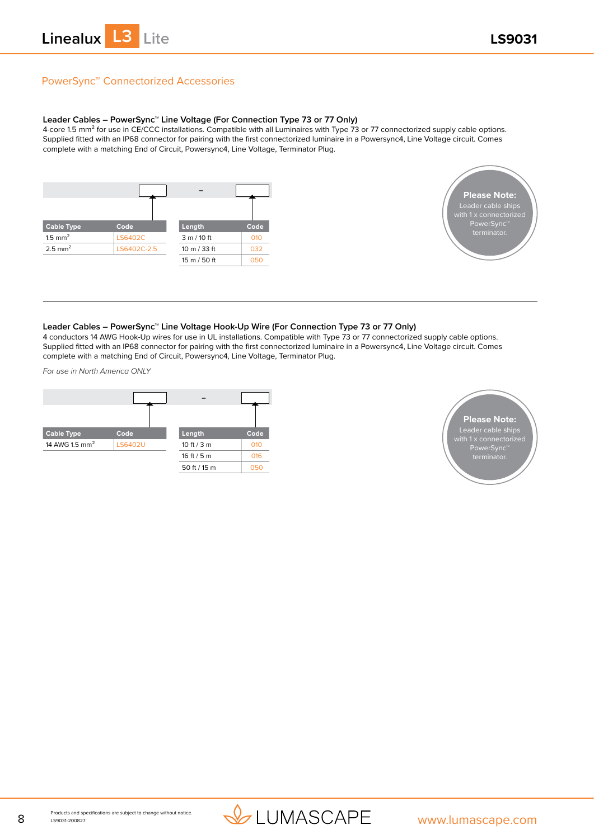

### PowerSync™ Connectorized Accessories

#### **Leader Cables – PowerSync™ Line Voltage (For Connection Type 73 or 77 Only)**

4-core 1.5 mm² for use in CE/CCC installations. Compatible with all Luminaires with Type 73 or 77 connectorized supply cable options. Supplied fitted with an IP68 connector for pairing with the first connectorized luminaire in a Powersync4, Line Voltage circuit. Comes complete with a matching End of Circuit, Powersync4, Line Voltage, Terminator Plug.





#### **Leader Cables – PowerSync™ Line Voltage Hook-Up Wire (For Connection Type 73 or 77 Only)**

4 conductors 14 AWG Hook-Up wires for use in UL installations. Compatible with Type 73 or 77 connectorized supply cable options. Supplied fitted with an IP68 connector for pairing with the first connectorized luminaire in a Powersync4, Line Voltage circuit. Comes complete with a matching End of Circuit, Powersync4, Line Voltage, Terminator Plug.

*For use in North America ONLY*





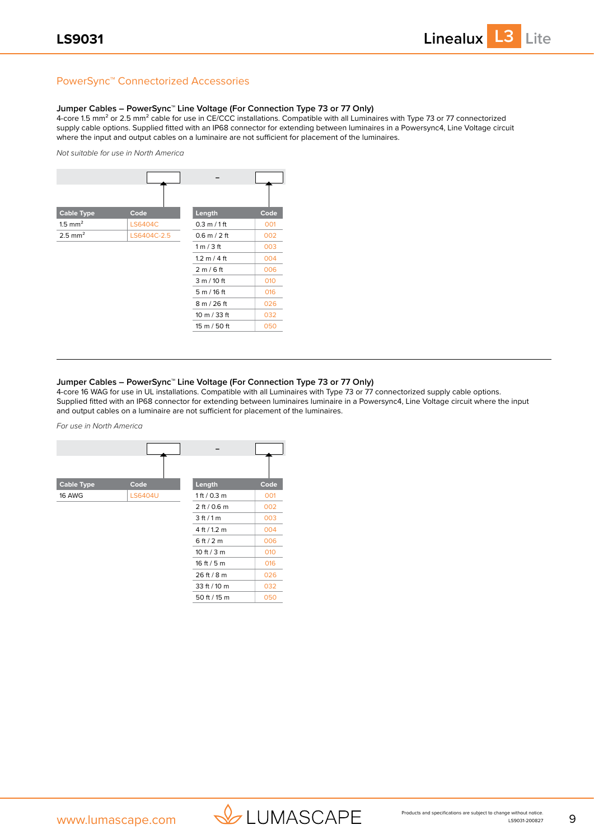### PowerSync™ Connectorized Accessories

#### **Jumper Cables – PowerSync™ Line Voltage (For Connection Type 73 or 77 Only)**

4-core 1.5 mm<sup>2</sup> or 2.5 mm<sup>2</sup> cable for use in CE/CCC installations. Compatible with all Luminaires with Type 73 or 77 connectorized supply cable options. Supplied fitted with an IP68 connector for extending between luminaires in a Powersync4, Line Voltage circuit where the input and output cables on a luminaire are not sufficient for placement of the luminaires.

*Not suitable for use in North America*

| <b>Cable Type</b>     | Code           | Length                         | Code |
|-----------------------|----------------|--------------------------------|------|
| $1.5$ mm <sup>2</sup> | <b>LS6404C</b> | $0.3 \text{ m} / 1 \text{ ft}$ | 001  |
| $2.5$ mm <sup>2</sup> | LS6404C-2.5    | $0.6$ m $/$ 2 ft               | 002  |
|                       |                | 1 m / 3 ft                     | 003  |
|                       |                | $1.2 \text{ m} / 4 \text{ ft}$ | 004  |
|                       |                | 2 m/6 ft                       | 006  |
|                       |                | 3 m / 10 ft                    | 010  |
|                       |                | 5m/16ft                        | 016  |
|                       |                | 8 m / 26 ft                    | 026  |
|                       |                | 10 m / 33 ft                   | 032  |
|                       |                | 15 m / 50 ft                   | 050  |

#### **Jumper Cables – PowerSync™ Line Voltage (For Connection Type 73 or 77 Only)**

4-core 16 WAG for use in UL installations. Compatible with all Luminaires with Type 73 or 77 connectorized supply cable options. Supplied fitted with an IP68 connector for extending between luminaires luminaire in a Powersync4, Line Voltage circuit where the input and output cables on a luminaire are not sufficient for placement of the luminaires.

*For use in North America*

| <b>Cable Type</b> | Code           | Length        | Code |
|-------------------|----------------|---------------|------|
| 16 AWG            | <b>LS6404U</b> | 1 ft / 0.3 m  | 001  |
|                   |                | 2 ft / 0.6 m  | 002  |
|                   |                | 3 ft / 1 m    | 003  |
|                   |                | 4 ft / 1.2 m  | 004  |
|                   |                | 6ft/2m        | 006  |
|                   |                | 10 ft $/$ 3 m | 010  |
|                   |                | 16 ft $/5m$   | 016  |
|                   |                | 26 ft / 8 m   | 026  |
|                   |                | 33 ft / 10 m  | 032  |
|                   |                | 50 ft / 15 m  | 050  |